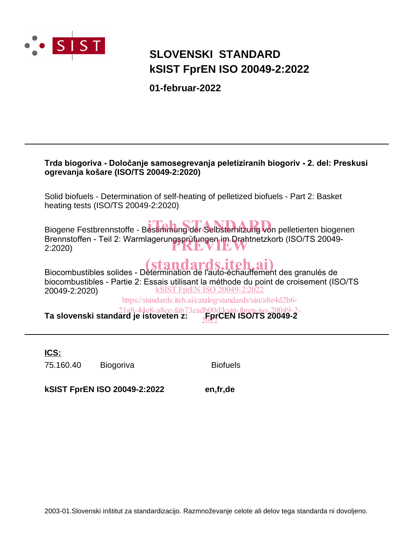

## **SLOVENSKI STANDARD kSIST FprEN ISO 20049-2:2022**

**01-februar-2022**

| Trda biogoriva - Določanje samosegrevanja peletiziranih biogoriv - 2. del: Preskusi<br>ogrevanja košare (ISO/TS 20049-2:2020)                                                                                                                                                                                                                                                                                  |  |  |  |  |  |
|----------------------------------------------------------------------------------------------------------------------------------------------------------------------------------------------------------------------------------------------------------------------------------------------------------------------------------------------------------------------------------------------------------------|--|--|--|--|--|
| Solid biofuels - Determination of self-heating of pelletized biofuels - Part 2: Basket<br>heating tests (ISO/TS 20049-2:2020)                                                                                                                                                                                                                                                                                  |  |  |  |  |  |
| Biogene Festbrennstoffe - Bestimmung der Selbsterhitzung von pelletierten biogenen<br>Brennstoffen - Teil 2: Warmlagerungsprüfungen im Drahtnetzkorb (ISO/TS 20049-<br>2:2020                                                                                                                                                                                                                                  |  |  |  |  |  |
| Biocombustibles solides - Détermination de l'auto-échauffement des granulés de<br>biocombustibles - Partie 2: Essais utilisant la méthode du point de croisement (ISO/TS<br><b>kSIST FprEN ISO 20049-2:2022</b><br>20049-2:2020)<br>https://standards.iteh.ai/catalog/standards/sist/a8e4d2b6-<br>21a9-44e8-a8cc-fab73eadb00d/ksist-fpren-iso-20049-2-<br><b>Ta slovenski standard je istoveten z:</b> 50049-2 |  |  |  |  |  |

**ICS:**

75.160.40 Biogoriva Biofuels

**kSIST FprEN ISO 20049-2:2022 en,fr,de**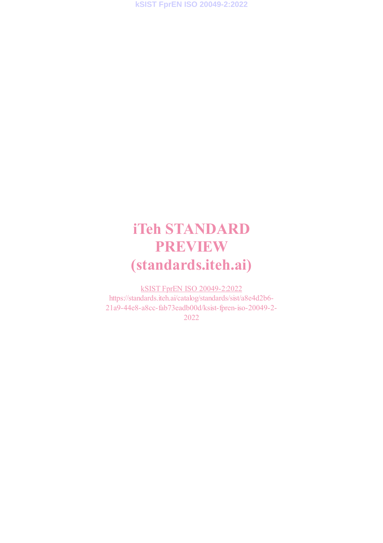# **iTeh STANDARD PREVIEW (standards.iteh.ai)**

kSIST FprEN ISO 20049-2:2022 https://standards.iteh.ai/catalog/standards/sist/a8e4d2b6- 21a9-44e8-a8cc-fab73eadb00d/ksist-fpren-iso-20049-2- 2022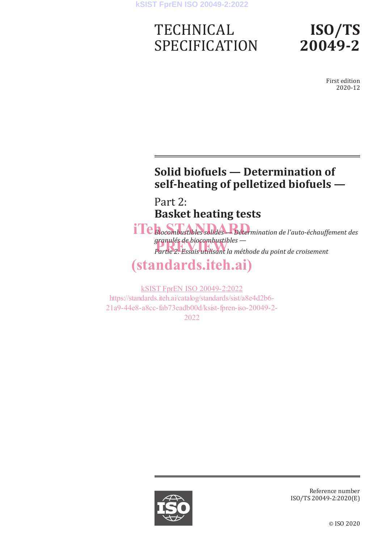## **TECHNICAL** SPECIFICATION

## **ISO/TS 20049-2**

First edition 2020-12

## **Solid biofuels — Determination of self-heating of pelletized biofuels —**

Part 2: **Basket heating tests**

 $\textbf{if}$  **Bi**ocombustibles solides Bétermination de l'auto-échauffement des *granulés de biocombustibles granules de blocompustiples —*<br>Partie 2: Essais utilisant la méthode du point de croisement

## **(standards.iteh.ai)**

kSIST FprEN ISO 20049-2:2022 https://standards.iteh.ai/catalog/standards/sist/a8e4d2b6- 21a9-44e8-a8cc-fab73eadb00d/ksist-fpren-iso-20049-2- 2022



Reference number ISO/TS 20049-2:2020(E)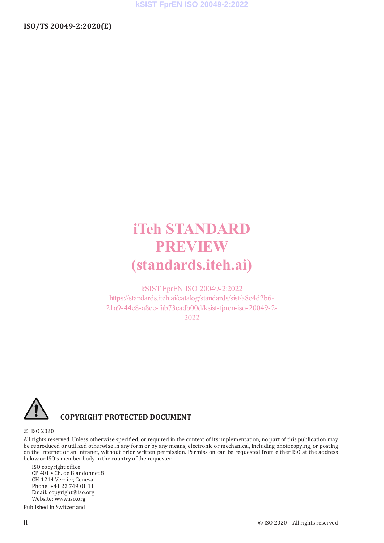## **iTeh STANDARD PREVIEW (standards.iteh.ai)**

kSIST FprEN ISO 20049-2:2022 https://standards.iteh.ai/catalog/standards/sist/a8e4d2b6- 21a9-44e8-a8cc-fab73eadb00d/ksist-fpren-iso-20049-2- 2022



#### **COPYRIGHT PROTECTED DOCUMENT**

© ISO 2020

All rights reserved. Unless otherwise specified, or required in the context of its implementation, no part of this publication may be reproduced or utilized otherwise in any form or by any means, electronic or mechanical, including photocopying, or posting on the internet or an intranet, without prior written permission. Permission can be requested from either ISO at the address below or ISO's member body in the country of the requester.

ISO copyright office CP 401 • Ch. de Blandonnet 8 CH-1214 Vernier, Geneva Phone: +41 22 749 01 11 Email: copyright@iso.org Website: www.iso.org Published in Switzerland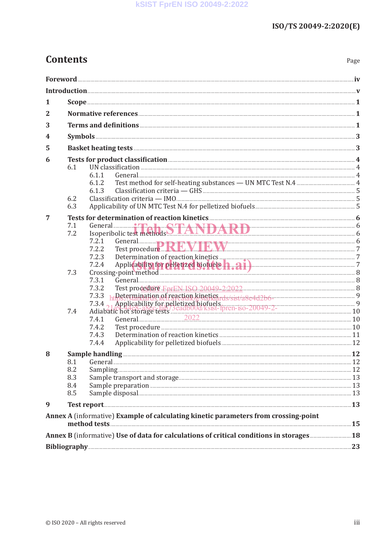### **Contents**

| 1                                                                                   |                                                                                                                                                                                                 |  |  |  |  |
|-------------------------------------------------------------------------------------|-------------------------------------------------------------------------------------------------------------------------------------------------------------------------------------------------|--|--|--|--|
| 2                                                                                   |                                                                                                                                                                                                 |  |  |  |  |
| 3                                                                                   |                                                                                                                                                                                                 |  |  |  |  |
| 4                                                                                   |                                                                                                                                                                                                 |  |  |  |  |
| 5                                                                                   |                                                                                                                                                                                                 |  |  |  |  |
| 6                                                                                   | Tests for product classification <b>Manual Equation</b> 4                                                                                                                                       |  |  |  |  |
|                                                                                     | 6.1                                                                                                                                                                                             |  |  |  |  |
|                                                                                     | General 2008 - 2009 - 2010 - 2010 - 2010 - 2010 - 2010 - 2010 - 2010 - 2010 - 2010 - 2010 - 2010 - 2010 - 2010<br>6.1.1                                                                         |  |  |  |  |
|                                                                                     | 6.1.2<br>6.1.3                                                                                                                                                                                  |  |  |  |  |
|                                                                                     | 6.2                                                                                                                                                                                             |  |  |  |  |
|                                                                                     | 6.3                                                                                                                                                                                             |  |  |  |  |
| 7                                                                                   |                                                                                                                                                                                                 |  |  |  |  |
|                                                                                     | 7.1                                                                                                                                                                                             |  |  |  |  |
|                                                                                     | 7.2                                                                                                                                                                                             |  |  |  |  |
|                                                                                     | 7.2.1<br>General 6<br>Test procedure REVIEW 2<br>7.2.2                                                                                                                                          |  |  |  |  |
|                                                                                     | 7.2.3                                                                                                                                                                                           |  |  |  |  |
|                                                                                     | 7.2.4 Applicability for pelletized biofuels <b>h</b> . a i ) Crossing-point method 38                                                                                                           |  |  |  |  |
|                                                                                     | 7.3                                                                                                                                                                                             |  |  |  |  |
|                                                                                     | 7.3.1<br>General 2008 and 2008 and 2008 and 2008 and 2008 and 2008 and 2008 and 2008 and 2008 and 2008 and 2008 and 200<br>Test procedure FprEN ISO 20049-2:2022 [2010] [2010 [2010] 8<br>7.3.2 |  |  |  |  |
|                                                                                     |                                                                                                                                                                                                 |  |  |  |  |
|                                                                                     |                                                                                                                                                                                                 |  |  |  |  |
|                                                                                     | 7.4                                                                                                                                                                                             |  |  |  |  |
|                                                                                     |                                                                                                                                                                                                 |  |  |  |  |
|                                                                                     | 7.4.2<br>7.4.3                                                                                                                                                                                  |  |  |  |  |
|                                                                                     | 7.4.4                                                                                                                                                                                           |  |  |  |  |
| 8                                                                                   |                                                                                                                                                                                                 |  |  |  |  |
|                                                                                     |                                                                                                                                                                                                 |  |  |  |  |
|                                                                                     | 8.2                                                                                                                                                                                             |  |  |  |  |
|                                                                                     | 8.3                                                                                                                                                                                             |  |  |  |  |
|                                                                                     | 8.4                                                                                                                                                                                             |  |  |  |  |
|                                                                                     | 8.5                                                                                                                                                                                             |  |  |  |  |
| 9                                                                                   |                                                                                                                                                                                                 |  |  |  |  |
| Annex A (informative) Example of calculating kinetic parameters from crossing-point |                                                                                                                                                                                                 |  |  |  |  |
|                                                                                     |                                                                                                                                                                                                 |  |  |  |  |
|                                                                                     |                                                                                                                                                                                                 |  |  |  |  |
|                                                                                     |                                                                                                                                                                                                 |  |  |  |  |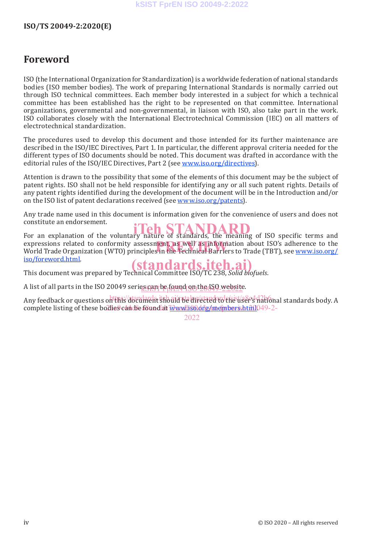### **Foreword**

ISO (the International Organization for Standardization) is a worldwide federation of national standards bodies (ISO member bodies). The work of preparing International Standards is normally carried out through ISO technical committees. Each member body interested in a subject for which a technical committee has been established has the right to be represented on that committee. International organizations, governmental and non-governmental, in liaison with ISO, also take part in the work. ISO collaborates closely with the International Electrotechnical Commission (IEC) on all matters of electrotechnical standardization.

The procedures used to develop this document and those intended for its further maintenance are described in the ISO/IEC Directives, Part 1. In particular, the different approval criteria needed for the different types of ISO documents should be noted. This document was drafted in accordance with the editorial rules of the ISO/IEC Directives, Part 2 (see www.iso.org/directives).

Attention is drawn to the possibility that some of the elements of this document may be the subject of patent rights. ISO shall not be held responsible for identifying any or all such patent rights. Details of any patent rights identified during the development of the document will be in the Introduction and/or on the ISO list of patent declarations received (see www.iso.org/patents).

Any trade name used in this document is information given for the convenience of users and does not constitute an endorsement.

For an explanation of the voluntary nature of standards, the meaning of ISO specific terms and expressions related to conformity assessment, as well as information about ISO's adherence to the<br>World Trade Organization (WTO) principles in the Technical Barriers to Trade (TBT), see <u>www.iso.org/</u> World Trade Organization (WTO) principles in the Technical Barriers to Trade (TBT), see www.iso.org/<br>iso/foreword.html. iso/foreword.html.

This document was prepared by Technical Committee ISO/TC 238, *Solid biofuels*. **(standards.iteh.ai)**

A list of all parts in the ISO 20049 serie<u>sgam be found on the ISO-websit</u>e.

Any feedback or questions on this document should be directed to the user's national standards body. A complete listing of these bodies can be found at <u>Www.is0.org/members.html</u>049-2-

2022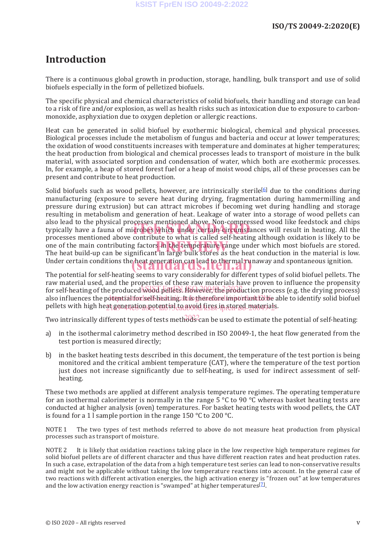### **Introduction**

There is a continuous global growth in production, storage, handling, bulk transport and use of solid biofuels especially in the form of pelletized biofuels.

The specific physical and chemical characteristics of solid biofuels, their handling and storage can lead to a risk of fire and/or explosion, as well as health risks such as intoxication due to exposure to carbonmonoxide, asphyxiation due to oxygen depletion or allergic reactions.

Heat can be generated in solid biofuel by exothermic biological, chemical and physical processes. Biological processes include the metabolism of fungus and bacteria and occur at lower temperatures; the oxidation of wood constituents increases with temperature and dominates at higher temperatures; the heat production from biological and chemical processes leads to transport of moisture in the bulk material, with associated sorption and condensation of water, which both are exothermic processes. In, for example, a heap of stored forest fuel or a heap of moist wood chips, all of these processes can be present and contribute to heat production.

Solid biofuels such as wood pellets, however, are intrinsically sterile  $\mathfrak{b}$  due to the conditions during manufacturing (exposure to severe heat during drying, fragmentation during hammermilling and pressure during extrusion) but can attract microbes if becoming wet during handling and storage resulting in metabolism and generation of heat. Leakage of water into a storage of wood pellets can also lead to the physical processes mentioned above. Non-compressed wood like feedstock and chips also lead to the physical processes mentioned above. Non-compressed wood like leedstock and chips<br>typically have a fauna of microbes which under certain circumstances will result in heating. All the processes mentioned above contribute to what is called self-heating although oxidation is likely to be one of the main contributing factors in the temperature range under which most biofuels are stored.<br>The heat build-un can be significant in large bulk stores as the heat conduction in the material is low. The heat build-up can be significant in large bulk stores as the heat conduction in the material is low. Under certain conditions the heat generation can lead to thermal runaway and spontaneous ignition.

The potential for self-heating seems to vary considerably for different types of solid biofuel pellets. The raw material used, and the properties of these raw materials have proven to influence the propensity for self-heating of the produced wood pellets. However, the production process (e.g. the drying process) also influences the potential for self-heating at is therefore important to be able to identify solid biofuel pellets with high he<u>at generation potential to avoid fires in stored material</u>s.

Two intrinsically different types of tests meth $\partial\mathcal{B}^2$ can be used to estimate the potential of self-heating:

- a) in the isothermal calorimetry method described in ISO 20049-1, the heat flow generated from the test portion is measured directly;
- b) in the basket heating tests described in this document, the temperature of the test portion is being monitored and the critical ambient temperature (CAT), where the temperature of the test portion just does not increase significantly due to self-heating, is used for indirect assessment of selfheating.

These two methods are applied at different analysis temperature regimes. The operating temperature for an isothermal calorimeter is normally in the range 5  $\degree$ C to 90  $\degree$ C whereas basket heating tests are conducted at higher analysis (oven) temperatures. For basket heating tests with wood pellets, the CAT is found for a 1 l sample portion in the range 150 °C to 200 °C.

NOTE 1 The two types of test methods referred to above do not measure heat production from physical processes such as transport of moisture.

NOTE 2 It is likely that oxidation reactions taking place in the low respective high temperature regimes for solid biofuel pellets are of different character and thus have different reaction rates and heat production rates. In such a case, extrapolation of the data from a high temperature test series can lead to non-conservative results and might not be applicable without taking the low temperature reactions into account. In the general case of two reactions with different activation energies, the high activation energy is "frozen out" at low temperatures and the low activation energy reaction is "swamped" at higher temperatures<sup>[2]</sup>.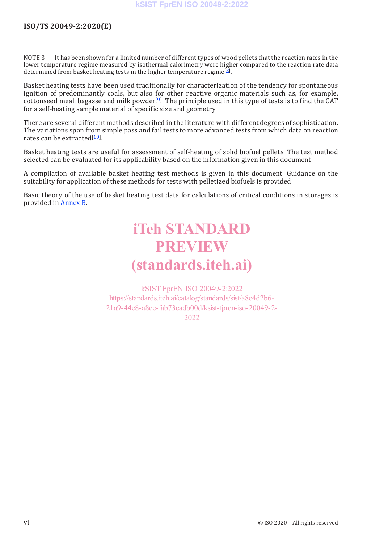NOTE 3 It has been shown for a limited number of different types of wood pellets that the reaction rates in the lower temperature regime measured by isothermal calorimetry were higher compared to the reaction rate data determined from basket heating tests in the higher temperature regime<sup>[8]</sup>.

Basket heating tests have been used traditionally for characterization of the tendency for spontaneous ignition of predominantly coals, but also for other reactive organic materials such as, for example, cottonseed meal, bagasse and milk powder<sup>[9]</sup>. The principle used in this type of tests is to find the CAT for a self-heating sample material of specific size and geometry.

There are several different methods described in the literature with different degrees of sophistication. The variations span from simple pass and fail tests to more advanced tests from which data on reaction rates can be extracted<sup>[10]</sup>.

Basket heating tests are useful for assessment of self-heating of solid biofuel pellets. The test method selected can be evaluated for its applicability based on the information given in this document.

A compilation of available basket heating test methods is given in this document. Guidance on the suitability for application of these methods for tests with pelletized biofuels is provided.

Basic theory of the use of basket heating test data for calculations of critical conditions in storages is provided in Annex B.

## **iTeh STANDARD PREVIEW (standards.iteh.ai)**

kSIST FprEN ISO 20049-2:2022 https://standards.iteh.ai/catalog/standards/sist/a8e4d2b6- 21a9-44e8-a8cc-fab73eadb00d/ksist-fpren-iso-20049-2- 2022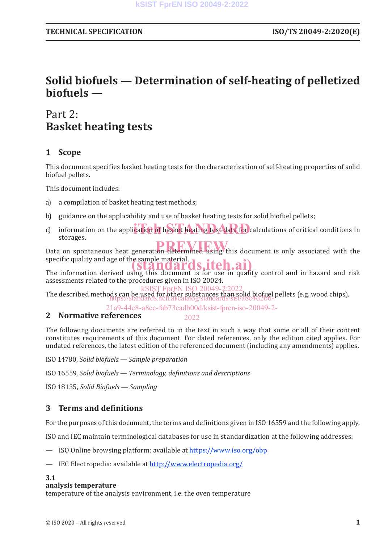### **Solid biofuels — Determination of self-heating of pelletized biofuels —**

### Part 2: **Basket heating tests**

### **1 Scope**

This document specifies basket heating tests for the characterization of self-heating properties of solid biofuel pellets.

This document includes:

- a) a compilation of basket heating test methods;
- b) guidance on the applicability and use of basket heating tests for solid biofuel pellets;
- c) information on the application of basket heating test data for calculations of critical conditions in storages.

Data on spontaneous heat generation determined using this document is only associated with the specific quality and age of the sample material. **(standards, iteh.ai)** 

The information derived using this document is for use in quality control and in hazard and risk assessments related to the procedures given in ISO 20024.

The described methods can be used for other substances than solid biofuel pellets (e.g. wood chips). https://standards.iteh.ai/catalog/standards/sist/a8e4d2b6- **EprEN ISO 20049-2:202** 

21a9-44e8-a8cc-fab73eadb00d/ksist-fpren-iso-20049-2-

#### **2 Normative references** 2022

The following documents are referred to in the text in such a way that some or all of their content constitutes requirements of this document. For dated references, only the edition cited applies. For undated references, the latest edition of the referenced document (including any amendments) applies.

ISO 14780, *Solid biofuels — Sample preparation*

ISO 16559, *Solid biofuels — Terminology, definitions and descriptions*

ISO 18135, *Solid Biofuels — Sampling*

#### **3 Terms and definitions**

For the purposes of this document, the terms and definitions given in ISO 16559 and the following apply.

ISO and IEC maintain terminological databases for use in standardization at the following addresses:

- ISO Online browsing platform: available at https://www.iso.org/obp
- IEC Electropedia: available at http://www.electropedia.org/

#### **3.1**

#### **analysis temperature**

temperature of the analysis environment, i.e. the oven temperature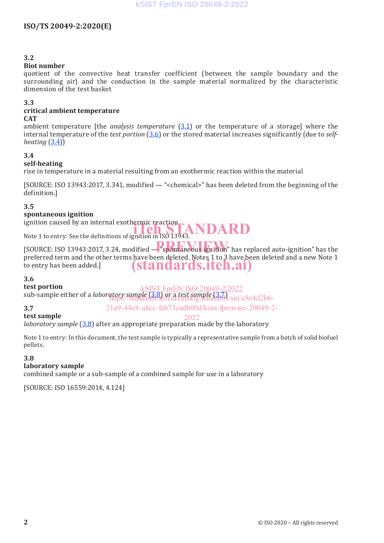#### **3.2**

#### **Biot number**

quotient of the convective heat transfer coefficient (between the sample boundary and the surrounding air) and the conduction in the sample material normalized by the characteristic dimension of the test basket

#### **3.3**

#### **critical ambient temperature**

#### **CAT**

ambient temperature [the *analysis temperature* (3.1) or the temperature of a storage] where the internal temperature of the *test portion* (3.6) or the stored material increases significantly (due to *selfheating*  $(3.4)$ 

#### **3.4**

#### **self-heating**

rise in temperature in a material resulting from an exothermic reaction within the material

[SOURCE: ISO 13943:2017, 3.341, modified — "<chemical>" has been deleted from the beginning of the definition.]

#### **3.5**

#### **spontaneous ignition**

ignition caused by an internal exothermic reaction

nghition caused by an internal exothermic reaction<br>Note 1 to entry: See the definitions of ignition in ISO 13943.

[SOURCE: ISO 13943:2017, 3.24, modified — "spontaneous ignition" has replaced auto-ignition" has the preferred term and the other terms have been deleted. Notes 1 to 3 have been deleted and a new Note 1 to entry has been added.] **(standards.iteh.ai)**

#### **3.6**

**test portion**

**test sample**

sub-sample either of a *laboratory sample* (3.8) or a *test sample* (3.7) kSIST FprEN ISO 20049-2:2022 https://standards.iteh.ai/catalog/standards/sist/a8e4d2b6-

#### **3.7**

21a9-44e8-a8cc-fab73eadb00d/ksist-fpren-iso-20049-2-

#### $2022$

*laboratory sample* (3.8) after an appropriate preparation made by the laboratory

Note 1 to entry: In this document, the test sample is typically a representative sample from a batch of solid biofuel pellets.

#### **3.8**

#### **laboratory sample**

combined sample or a sub-sample of a combined sample for use in a laboratory

[SOURCE: ISO 16559:2014, 4.124]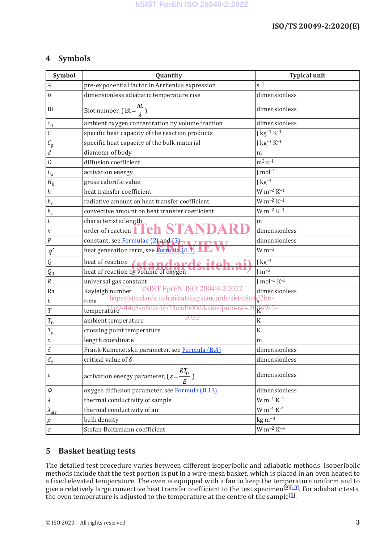#### **4 Symbols**

| Symbol                            | Quantity                                                                 | <b>Typical unit</b>   |
|-----------------------------------|--------------------------------------------------------------------------|-----------------------|
| $\boldsymbol{A}$                  | pre-exponential factor in Arrhenius expression                           | $s^{-1}$              |
| $\boldsymbol{B}$                  | dimensionless adiabatic temperature rise                                 | dimensionless         |
| Bi                                | Biot number, (Bi= $\frac{hL}{\lambda}$ )                                 | dimensionless         |
| $c_{0}$                           | ambient oxygen concentration by volume fraction                          | dimensionless         |
| $\overline{C}$                    | specific heat capacity of the reaction products                          | $J kg^{-1} K^{-1}$    |
| $\overline{C_{\rm p}}$            | specific heat capacity of the bulk material                              | $J kg^{-1} K^{-1}$    |
| $\overline{d}$                    | diameter of body                                                         | m                     |
| $\boldsymbol{D}$                  | diffusion coefficient                                                    | $m^2 s^{-1}$          |
| $E_{\rm a}$                       | activation energy                                                        | $J$ mol <sup>-1</sup> |
| $H_0$                             | gross calorific value                                                    | ${\rm J\,kg^{-1}}$    |
| $\hbar$                           | heat transfer coefficient                                                | $W m^{-2} K^{-1}$     |
| $h_{\rm r}$                       | radiative amount on heat transfer coefficient                            | $W m^{-2} K^{-1}$     |
| $h_{\underline{c}}$               | convective amount on heat transfer coefficient                           | $W m^{-2} K^{-1}$     |
| $\cal L$                          | characteristic length                                                    | m                     |
| $\vert n \vert$                   | order of reaction                                                        | dimensionless         |
| $\cal P$                          | constant, see Formulae (2) and (3)                                       | dimensionless         |
| $\dot{q}'$                        | heat generation term, see Formula (B.1)                                  | $W m^{-3}$            |
| Q                                 |                                                                          | ${\rm J\,kg^{-1}}$    |
| $\overline{Q_0}$                  | heat of reaction<br>heat of reaction by volume of oxygen                 | J m $\overline{3}$    |
| $\cal R$                          | universal gas constant                                                   | $Imol^{-1} K^{-1}$    |
| Ra                                | <u>KSIST FprEN ISO</u><br>20049-2:2022<br>Rayleigh number                | dimensionless         |
| $\boldsymbol{t}$                  | https://standards.iteh.ai/catalog/standards/sist/a8e<br>time             | $\frac{1}{2}2b6$ -    |
| $\cal T$                          | temperature <sup>9-44e8-a8cc-fab73eadb00d/ksist-fpren-iso-2</sup>        | $R^{49-2-}$           |
| $T_{0}$                           | 2022<br>ambient temperature                                              | K                     |
| $T_{\rm p}$                       | crossing point temperature                                               | $\rm K$               |
| $\boldsymbol{X}$                  | length coordinate                                                        | m                     |
| $\delta$                          | Frank-Kamenetskii parameter, see Formula (B.4)                           | dimensionless         |
| $\overline{\delta_c}$             | critical value of $\delta$                                               | $\,$ dimensionless    |
| $\epsilon$                        | activation energy parameter, $\left(\varepsilon = \frac{RT_0}{F}\right)$ | dimensionless         |
| $\varphi$                         | oxygen diffusion parameter, see Formula (B.13)                           | dimensionless         |
| $ \lambda $                       | thermal conductivity of sample                                           | $W m^{-1} K^{-1}$     |
| $\overline{\lambda_{\text{air}}}$ | thermal conductivity of air                                              | $\rm W~m^{-1}~K^{-1}$ |
| $\rho$                            | bulk density                                                             | $kg m-3$              |
| $\sigma$                          | Stefan-Boltzmann coefficient                                             | $W m^{-2} K^{-4}$     |

#### **5 Basket heating tests**

The detailed test procedure varies between different isoperibolic and adiabatic methods. Isoperibolic methods include that the test portion is put in a wire-mesh basket, which is placed in an oven heated to a fixed elevated temperature. The oven is equipped with a fan to keep the temperature uniform and to give a relatively large convective heat transfer coefficient to the test specimen<sup>[9][10]</sup>. For adiabatic tests, the oven temperature is adjusted to the temperature at the centre of the sample[5].